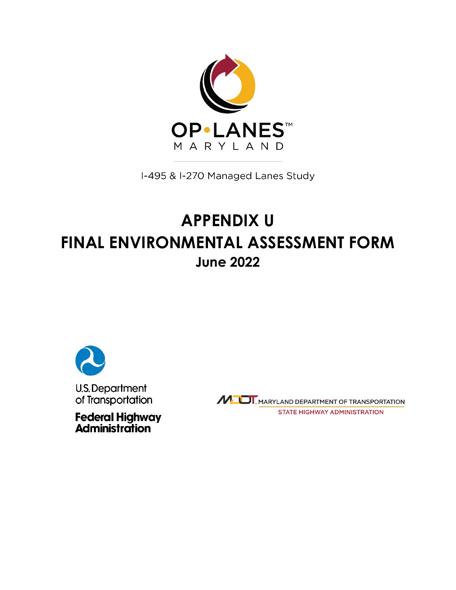

I-495 & I-270 Managed Lanes Study

## **APPENDIX U FINAL ENVIRONMENTAL ASSESSMENT FORM June 2022**



**Federal Highway<br>Administration** 

MULT, MARYLAND DEPARTMENT OF TRANSPORTATION **STATE HIGHWAY ADMINISTRATION**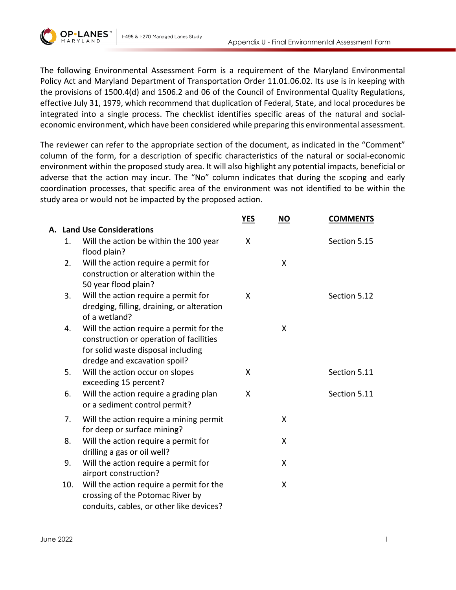

I-495 & I-270 Managed Lanes Study

The following Environmental Assessment Form is a requirement of the Maryland Environmental Policy Act and Maryland Department of Transportation Order 11.01.06.02. Its use is in keeping with the provisions of 1500.4(d) and 1506.2 and 06 of the Council of Environmental Quality Regulations, effective July 31, 1979, which recommend that duplication of Federal, State, and local procedures be integrated into a single process. The checklist identifies specific areas of the natural and socialeconomic environment, which have been considered while preparing this environmental assessment.

The reviewer can refer to the appropriate section of the document, as indicated in the "Comment" column of the form, for a description of specific characteristics of the natural or social-economic environment within the proposed study area. It will also highlight any potential impacts, beneficial or adverse that the action may incur. The "No" column indicates that during the scoping and early coordination processes, that specific area of the environment was not identified to be within the study area or would not be impacted by the proposed action.

|     |                                                                                                                                                           | <u>YES</u> | $\underline{\mathsf{NO}}$ | <b>COMMENTS</b> |
|-----|-----------------------------------------------------------------------------------------------------------------------------------------------------------|------------|---------------------------|-----------------|
|     | A. Land Use Considerations                                                                                                                                |            |                           |                 |
| 1.  | Will the action be within the 100 year<br>flood plain?                                                                                                    | X          |                           | Section 5.15    |
| 2.  | Will the action require a permit for<br>construction or alteration within the<br>50 year flood plain?                                                     |            | X                         |                 |
| 3.  | Will the action require a permit for<br>dredging, filling, draining, or alteration<br>of a wetland?                                                       | X          |                           | Section 5.12    |
| 4.  | Will the action require a permit for the<br>construction or operation of facilities<br>for solid waste disposal including<br>dredge and excavation spoil? |            | X                         |                 |
| 5.  | Will the action occur on slopes<br>exceeding 15 percent?                                                                                                  | X          |                           | Section 5.11    |
| 6.  | Will the action require a grading plan<br>or a sediment control permit?                                                                                   | X          |                           | Section 5.11    |
| 7.  | Will the action require a mining permit<br>for deep or surface mining?                                                                                    |            | X                         |                 |
| 8.  | Will the action require a permit for<br>drilling a gas or oil well?                                                                                       |            | X                         |                 |
| 9.  | Will the action require a permit for<br>airport construction?                                                                                             |            | X                         |                 |
| 10. | Will the action require a permit for the<br>crossing of the Potomac River by<br>conduits, cables, or other like devices?                                  |            | X                         |                 |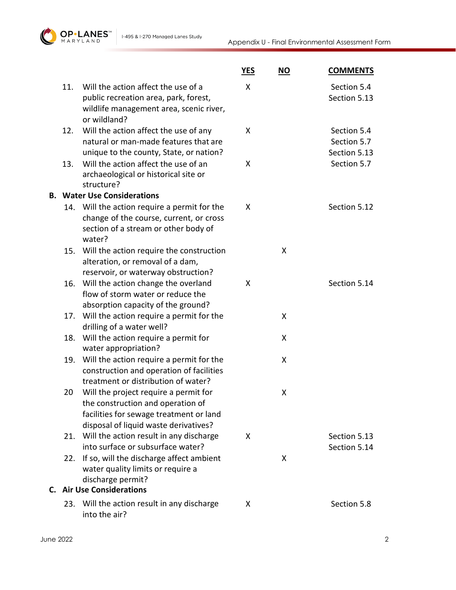

|     |                                                                                                                                                                | <b>YES</b> | $NO$ | <b>COMMENTS</b>                            |
|-----|----------------------------------------------------------------------------------------------------------------------------------------------------------------|------------|------|--------------------------------------------|
| 11. | Will the action affect the use of a<br>public recreation area, park, forest,<br>wildlife management area, scenic river,<br>or wildland?                        | X          |      | Section 5.4<br>Section 5.13                |
| 12. | Will the action affect the use of any<br>natural or man-made features that are<br>unique to the county, State, or nation?                                      | X          |      | Section 5.4<br>Section 5.7<br>Section 5.13 |
| 13. | Will the action affect the use of an<br>archaeological or historical site or<br>structure?                                                                     | X          |      | Section 5.7                                |
|     | <b>B. Water Use Considerations</b>                                                                                                                             |            |      |                                            |
|     | 14. Will the action require a permit for the<br>change of the course, current, or cross<br>section of a stream or other body of<br>water?                      | X          |      | Section 5.12                               |
| 15. | Will the action require the construction<br>alteration, or removal of a dam,<br>reservoir, or waterway obstruction?                                            |            | X    |                                            |
| 16. | Will the action change the overland<br>flow of storm water or reduce the<br>absorption capacity of the ground?                                                 | X          |      | Section 5.14                               |
|     | 17. Will the action require a permit for the<br>drilling of a water well?                                                                                      |            | X    |                                            |
| 18. | Will the action require a permit for<br>water appropriation?                                                                                                   |            | X    |                                            |
|     | 19. Will the action require a permit for the<br>construction and operation of facilities<br>treatment or distribution of water?                                |            | X    |                                            |
| 20  | Will the project require a permit for<br>the construction and operation of<br>facilities for sewage treatment or land<br>disposal of liquid waste derivatives? |            | X    |                                            |
|     | 21. Will the action result in any discharge<br>into surface or subsurface water?                                                                               | X          |      | Section 5.13<br>Section 5.14               |
| 22. | If so, will the discharge affect ambient<br>water quality limits or require a<br>discharge permit?                                                             |            | X    |                                            |
|     | <b>C.</b> Air Use Considerations                                                                                                                               |            |      |                                            |
|     | 23. Will the action result in any discharge<br>into the air?                                                                                                   | X          |      | Section 5.8                                |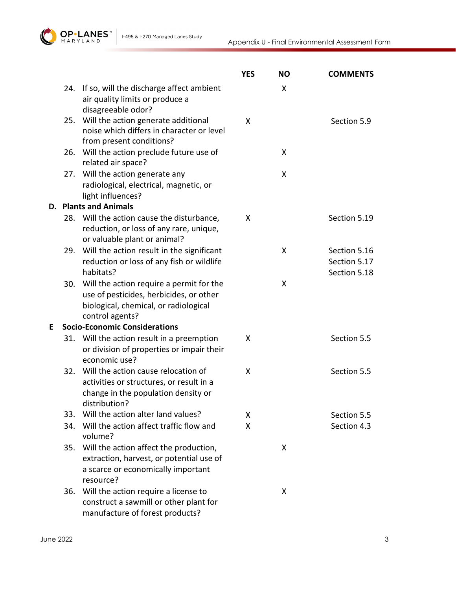

|   |     |                                                                                                                                                 | <b>YES</b> | <b>NO</b> | <b>COMMENTS</b>                              |
|---|-----|-------------------------------------------------------------------------------------------------------------------------------------------------|------------|-----------|----------------------------------------------|
|   | 24. | If so, will the discharge affect ambient<br>air quality limits or produce a<br>disagreeable odor?                                               |            | X         |                                              |
|   |     | 25. Will the action generate additional<br>noise which differs in character or level<br>from present conditions?                                | X          |           | Section 5.9                                  |
|   |     | 26. Will the action preclude future use of<br>related air space?                                                                                |            | X         |                                              |
|   |     | 27. Will the action generate any<br>radiological, electrical, magnetic, or<br>light influences?                                                 |            | X         |                                              |
|   |     | <b>D.</b> Plants and Animals                                                                                                                    |            |           |                                              |
|   |     | 28. Will the action cause the disturbance,<br>reduction, or loss of any rare, unique,<br>or valuable plant or animal?                           | X          |           | Section 5.19                                 |
|   |     | 29. Will the action result in the significant<br>reduction or loss of any fish or wildlife<br>habitats?                                         |            | X         | Section 5.16<br>Section 5.17<br>Section 5.18 |
|   | 30. | Will the action require a permit for the<br>use of pesticides, herbicides, or other<br>biological, chemical, or radiological<br>control agents? |            | X         |                                              |
| E |     | <b>Socio-Economic Considerations</b>                                                                                                            |            |           |                                              |
|   |     | 31. Will the action result in a preemption<br>or division of properties or impair their<br>economic use?                                        | X          |           | Section 5.5                                  |
|   | 32. | Will the action cause relocation of<br>activities or structures, or result in a<br>change in the population density or<br>distribution?         | X          |           | Section 5.5                                  |
|   | 33. | Will the action alter land values?                                                                                                              | X          |           | Section 5.5                                  |
|   | 34. | Will the action affect traffic flow and<br>volume?                                                                                              | X          |           | Section 4.3                                  |
|   |     | 35. Will the action affect the production,<br>extraction, harvest, or potential use of<br>a scarce or economically important<br>resource?       |            | X         |                                              |
|   |     | 36. Will the action require a license to<br>construct a sawmill or other plant for<br>manufacture of forest products?                           |            | X         |                                              |